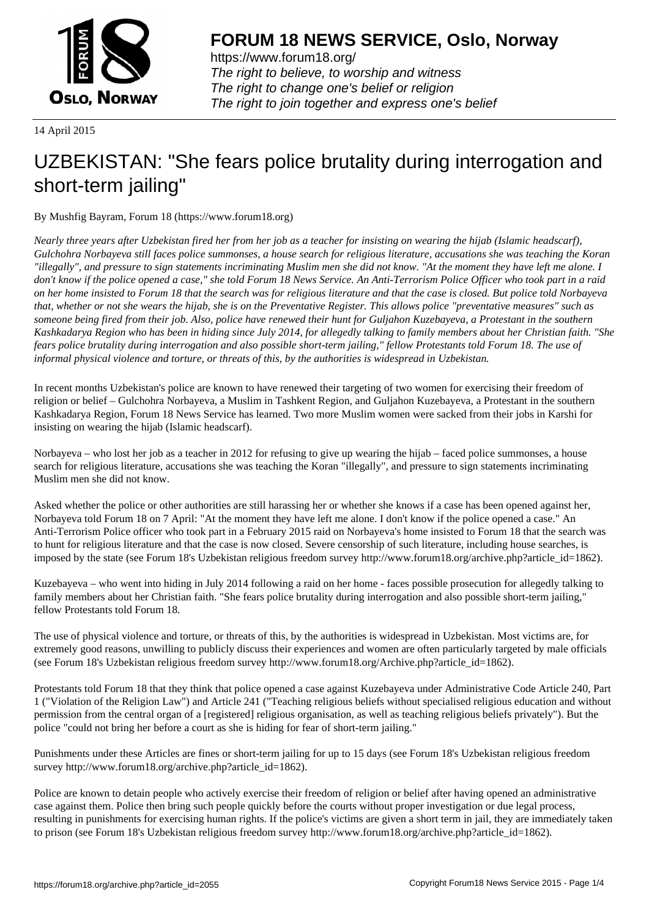

https://www.forum18.org/ The right to believe, to worship and witness The right to change one's belief or religion [The right to join together a](https://www.forum18.org/)nd express one's belief

14 April 2015

# [UZBEKISTAN:](https://www.forum18.org) "She fears police brutality during interrogation and short-term jailing"

By Mushfig Bayram, Forum 18 (https://www.forum18.org)

*Nearly three years after Uzbekistan fired her from her job as a teacher for insisting on wearing the hijab (Islamic headscarf), Gulchohra Norbayeva still faces police summonses, a house search for religious literature, accusations she was teaching the Koran "illegally", and pressure to sign statements incriminating Muslim men she did not know. "At the moment they have left me alone. I don't know if the police opened a case," she told Forum 18 News Service. An Anti-Terrorism Police Officer who took part in a raid on her home insisted to Forum 18 that the search was for religious literature and that the case is closed. But police told Norbayeva that, whether or not she wears the hijab, she is on the Preventative Register. This allows police "preventative measures" such as someone being fired from their job. Also, police have renewed their hunt for Guljahon Kuzebayeva, a Protestant in the southern Kashkadarya Region who has been in hiding since July 2014, for allegedly talking to family members about her Christian faith. "She fears police brutality during interrogation and also possible short-term jailing," fellow Protestants told Forum 18. The use of informal physical violence and torture, or threats of this, by the authorities is widespread in Uzbekistan.*

In recent months Uzbekistan's police are known to have renewed their targeting of two women for exercising their freedom of religion or belief – Gulchohra Norbayeva, a Muslim in Tashkent Region, and Guljahon Kuzebayeva, a Protestant in the southern Kashkadarya Region, Forum 18 News Service has learned. Two more Muslim women were sacked from their jobs in Karshi for insisting on wearing the hijab (Islamic headscarf).

Norbayeva – who lost her job as a teacher in 2012 for refusing to give up wearing the hijab – faced police summonses, a house search for religious literature, accusations she was teaching the Koran "illegally", and pressure to sign statements incriminating Muslim men she did not know.

Asked whether the police or other authorities are still harassing her or whether she knows if a case has been opened against her, Norbayeva told Forum 18 on 7 April: "At the moment they have left me alone. I don't know if the police opened a case." An Anti-Terrorism Police officer who took part in a February 2015 raid on Norbayeva's home insisted to Forum 18 that the search was to hunt for religious literature and that the case is now closed. Severe censorship of such literature, including house searches, is imposed by the state (see Forum 18's Uzbekistan religious freedom survey http://www.forum18.org/archive.php?article\_id=1862).

Kuzebayeva – who went into hiding in July 2014 following a raid on her home - faces possible prosecution for allegedly talking to family members about her Christian faith. "She fears police brutality during interrogation and also possible short-term jailing," fellow Protestants told Forum 18.

The use of physical violence and torture, or threats of this, by the authorities is widespread in Uzbekistan. Most victims are, for extremely good reasons, unwilling to publicly discuss their experiences and women are often particularly targeted by male officials (see Forum 18's Uzbekistan religious freedom survey http://www.forum18.org/Archive.php?article\_id=1862).

Protestants told Forum 18 that they think that police opened a case against Kuzebayeva under Administrative Code Article 240, Part 1 ("Violation of the Religion Law") and Article 241 ("Teaching religious beliefs without specialised religious education and without permission from the central organ of a [registered] religious organisation, as well as teaching religious beliefs privately"). But the police "could not bring her before a court as she is hiding for fear of short-term jailing."

Punishments under these Articles are fines or short-term jailing for up to 15 days (see Forum 18's Uzbekistan religious freedom survey http://www.forum18.org/archive.php?article\_id=1862).

Police are known to detain people who actively exercise their freedom of religion or belief after having opened an administrative case against them. Police then bring such people quickly before the courts without proper investigation or due legal process, resulting in punishments for exercising human rights. If the police's victims are given a short term in jail, they are immediately taken to prison (see Forum 18's Uzbekistan religious freedom survey http://www.forum18.org/archive.php?article\_id=1862).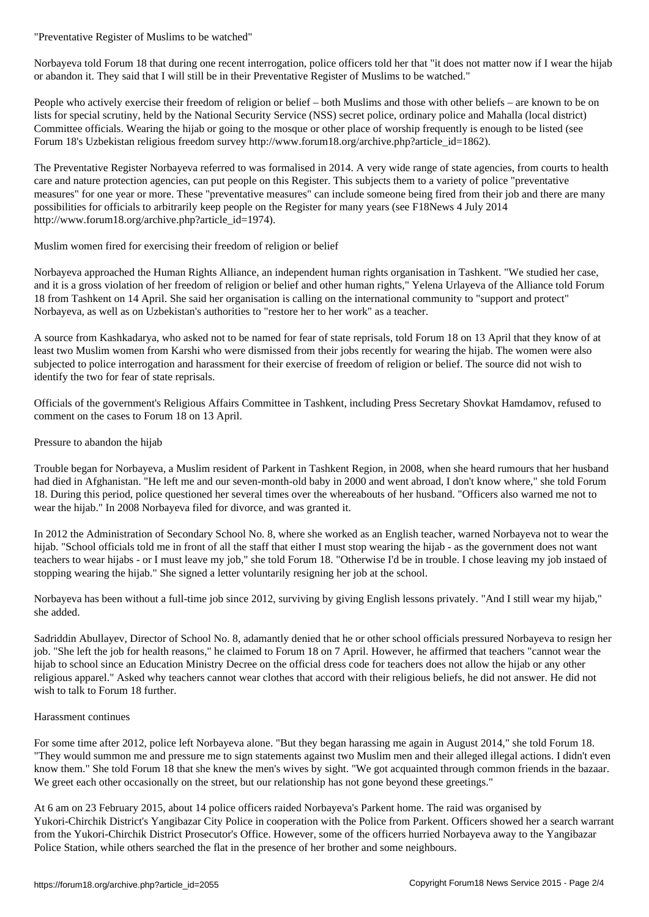Norbayeva told Forum 18 that during one recent interrogation, police officers told her that "it does not matter now if I wear the hijab or abandon it. They said that I will still be in their Preventative Register of Muslims to be watched."

People who actively exercise their freedom of religion or belief – both Muslims and those with other beliefs – are known to be on lists for special scrutiny, held by the National Security Service (NSS) secret police, ordinary police and Mahalla (local district) Committee officials. Wearing the hijab or going to the mosque or other place of worship frequently is enough to be listed (see Forum 18's Uzbekistan religious freedom survey http://www.forum18.org/archive.php?article\_id=1862).

The Preventative Register Norbayeva referred to was formalised in 2014. A very wide range of state agencies, from courts to health care and nature protection agencies, can put people on this Register. This subjects them to a variety of police "preventative measures" for one year or more. These "preventative measures" can include someone being fired from their job and there are many possibilities for officials to arbitrarily keep people on the Register for many years (see F18News 4 July 2014 http://www.forum18.org/archive.php?article\_id=1974).

Muslim women fired for exercising their freedom of religion or belief

Norbayeva approached the Human Rights Alliance, an independent human rights organisation in Tashkent. "We studied her case, and it is a gross violation of her freedom of religion or belief and other human rights," Yelena Urlayeva of the Alliance told Forum 18 from Tashkent on 14 April. She said her organisation is calling on the international community to "support and protect" Norbayeva, as well as on Uzbekistan's authorities to "restore her to her work" as a teacher.

A source from Kashkadarya, who asked not to be named for fear of state reprisals, told Forum 18 on 13 April that they know of at least two Muslim women from Karshi who were dismissed from their jobs recently for wearing the hijab. The women were also subjected to police interrogation and harassment for their exercise of freedom of religion or belief. The source did not wish to identify the two for fear of state reprisals.

Officials of the government's Religious Affairs Committee in Tashkent, including Press Secretary Shovkat Hamdamov, refused to comment on the cases to Forum 18 on 13 April.

Pressure to abandon the hijab

Trouble began for Norbayeva, a Muslim resident of Parkent in Tashkent Region, in 2008, when she heard rumours that her husband had died in Afghanistan. "He left me and our seven-month-old baby in 2000 and went abroad, I don't know where," she told Forum 18. During this period, police questioned her several times over the whereabouts of her husband. "Officers also warned me not to wear the hijab." In 2008 Norbayeva filed for divorce, and was granted it.

In 2012 the Administration of Secondary School No. 8, where she worked as an English teacher, warned Norbayeva not to wear the hijab. "School officials told me in front of all the staff that either I must stop wearing the hijab - as the government does not want teachers to wear hijabs - or I must leave my job," she told Forum 18. "Otherwise I'd be in trouble. I chose leaving my job instaed of stopping wearing the hijab." She signed a letter voluntarily resigning her job at the school.

Norbayeva has been without a full-time job since 2012, surviving by giving English lessons privately. "And I still wear my hijab," she added.

Sadriddin Abullayev, Director of School No. 8, adamantly denied that he or other school officials pressured Norbayeva to resign her job. "She left the job for health reasons," he claimed to Forum 18 on 7 April. However, he affirmed that teachers "cannot wear the hijab to school since an Education Ministry Decree on the official dress code for teachers does not allow the hijab or any other religious apparel." Asked why teachers cannot wear clothes that accord with their religious beliefs, he did not answer. He did not wish to talk to Forum 18 further.

### Harassment continues

For some time after 2012, police left Norbayeva alone. "But they began harassing me again in August 2014," she told Forum 18. "They would summon me and pressure me to sign statements against two Muslim men and their alleged illegal actions. I didn't even know them." She told Forum 18 that she knew the men's wives by sight. "We got acquainted through common friends in the bazaar. We greet each other occasionally on the street, but our relationship has not gone beyond these greetings."

At 6 am on 23 February 2015, about 14 police officers raided Norbayeva's Parkent home. The raid was organised by Yukori-Chirchik District's Yangibazar City Police in cooperation with the Police from Parkent. Officers showed her a search warrant from the Yukori-Chirchik District Prosecutor's Office. However, some of the officers hurried Norbayeva away to the Yangibazar Police Station, while others searched the flat in the presence of her brother and some neighbours.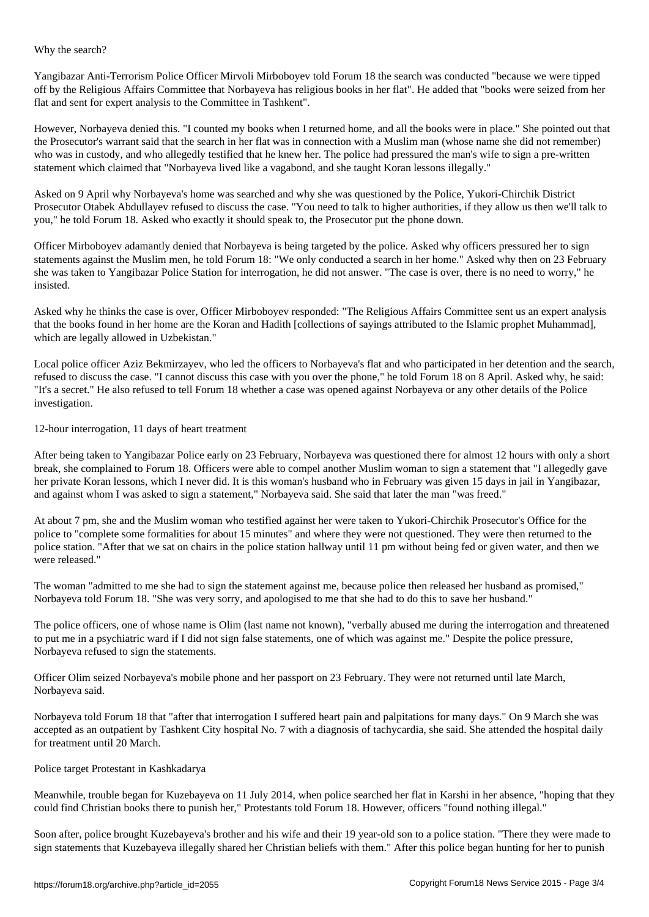Yangibazar Anti-Terrorism Police Officer Mirvoli Mirboboyev told Forum 18 the search was conducted "because we were tipped off by the Religious Affairs Committee that Norbayeva has religious books in her flat". He added that "books were seized from her flat and sent for expert analysis to the Committee in Tashkent".

However, Norbayeva denied this. "I counted my books when I returned home, and all the books were in place." She pointed out that the Prosecutor's warrant said that the search in her flat was in connection with a Muslim man (whose name she did not remember) who was in custody, and who allegedly testified that he knew her. The police had pressured the man's wife to sign a pre-written statement which claimed that "Norbayeva lived like a vagabond, and she taught Koran lessons illegally."

Asked on 9 April why Norbayeva's home was searched and why she was questioned by the Police, Yukori-Chirchik District Prosecutor Otabek Abdullayev refused to discuss the case. "You need to talk to higher authorities, if they allow us then we'll talk to you," he told Forum 18. Asked who exactly it should speak to, the Prosecutor put the phone down.

Officer Mirboboyev adamantly denied that Norbayeva is being targeted by the police. Asked why officers pressured her to sign statements against the Muslim men, he told Forum 18: "We only conducted a search in her home." Asked why then on 23 February she was taken to Yangibazar Police Station for interrogation, he did not answer. "The case is over, there is no need to worry," he insisted.

Asked why he thinks the case is over, Officer Mirboboyev responded: "The Religious Affairs Committee sent us an expert analysis that the books found in her home are the Koran and Hadith [collections of sayings attributed to the Islamic prophet Muhammad], which are legally allowed in Uzbekistan."

Local police officer Aziz Bekmirzayev, who led the officers to Norbayeva's flat and who participated in her detention and the search, refused to discuss the case. "I cannot discuss this case with you over the phone," he told Forum 18 on 8 April. Asked why, he said: "It's a secret." He also refused to tell Forum 18 whether a case was opened against Norbayeva or any other details of the Police investigation.

## 12-hour interrogation, 11 days of heart treatment

where search is the search of the search of the search of the search of the search of the search of the search

After being taken to Yangibazar Police early on 23 February, Norbayeva was questioned there for almost 12 hours with only a short break, she complained to Forum 18. Officers were able to compel another Muslim woman to sign a statement that "I allegedly gave her private Koran lessons, which I never did. It is this woman's husband who in February was given 15 days in jail in Yangibazar, and against whom I was asked to sign a statement," Norbayeva said. She said that later the man "was freed."

At about 7 pm, she and the Muslim woman who testified against her were taken to Yukori-Chirchik Prosecutor's Office for the police to "complete some formalities for about 15 minutes" and where they were not questioned. They were then returned to the police station. "After that we sat on chairs in the police station hallway until 11 pm without being fed or given water, and then we were released."

The woman "admitted to me she had to sign the statement against me, because police then released her husband as promised," Norbayeva told Forum 18. "She was very sorry, and apologised to me that she had to do this to save her husband."

The police officers, one of whose name is Olim (last name not known), "verbally abused me during the interrogation and threatened to put me in a psychiatric ward if I did not sign false statements, one of which was against me." Despite the police pressure, Norbayeva refused to sign the statements.

Officer Olim seized Norbayeva's mobile phone and her passport on 23 February. They were not returned until late March, Norbayeva said.

Norbayeva told Forum 18 that "after that interrogation I suffered heart pain and palpitations for many days." On 9 March she was accepted as an outpatient by Tashkent City hospital No. 7 with a diagnosis of tachycardia, she said. She attended the hospital daily for treatment until 20 March.

### Police target Protestant in Kashkadarya

Meanwhile, trouble began for Kuzebayeva on 11 July 2014, when police searched her flat in Karshi in her absence, "hoping that they could find Christian books there to punish her," Protestants told Forum 18. However, officers "found nothing illegal."

Soon after, police brought Kuzebayeva's brother and his wife and their 19 year-old son to a police station. "There they were made to sign statements that Kuzebayeva illegally shared her Christian beliefs with them." After this police began hunting for her to punish